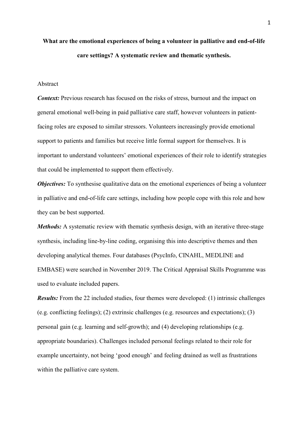# **What are the emotional experiences of being a volunteer in palliative and end-of-life care settings? A systematic review and thematic synthesis.**

# Abstract

*Context:* Previous research has focused on the risks of stress, burnout and the impact on general emotional well-being in paid palliative care staff, however volunteers in patientfacing roles are exposed to similar stressors. Volunteers increasingly provide emotional support to patients and families but receive little formal support for themselves. It is important to understand volunteers' emotional experiences of their role to identify strategies that could be implemented to support them effectively.

*Objectives:* To synthesise qualitative data on the emotional experiences of being a volunteer in palliative and end-of-life care settings, including how people cope with this role and how they can be best supported.

*Methods:* A systematic review with thematic synthesis design, with an iterative three-stage synthesis, including line-by-line coding, organising this into descriptive themes and then developing analytical themes. Four databases (PsycInfo, CINAHL, MEDLINE and EMBASE) were searched in November 2019. The Critical Appraisal Skills Programme was used to evaluate included papers.

*Results:* From the 22 included studies, four themes were developed: (1) intrinsic challenges (e.g. conflicting feelings); (2) extrinsic challenges (e.g. resources and expectations); (3) personal gain (e.g. learning and self-growth); and (4) developing relationships (e.g. appropriate boundaries). Challenges included personal feelings related to their role for example uncertainty, not being 'good enough' and feeling drained as well as frustrations within the palliative care system.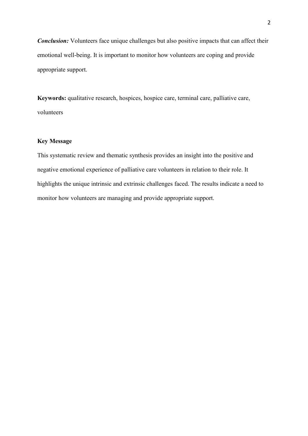*Conclusion:* Volunteers face unique challenges but also positive impacts that can affect their emotional well-being. It is important to monitor how volunteers are coping and provide appropriate support.

**Keywords:** qualitative research, hospices, hospice care, terminal care, palliative care, volunteers

# **Key Message**

This systematic review and thematic synthesis provides an insight into the positive and negative emotional experience of palliative care volunteers in relation to their role. It highlights the unique intrinsic and extrinsic challenges faced. The results indicate a need to monitor how volunteers are managing and provide appropriate support.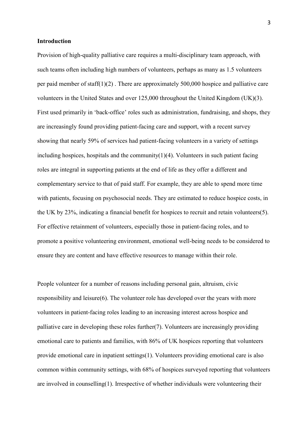## **Introduction**

Provision of high-quality palliative care requires a multi-disciplinary team approach, with such teams often including high numbers of volunteers, perhaps as many as 1.5 volunteers per paid member of staff(1)(2) . There are approximately 500,000 hospice and palliative care volunteers in the United States and over 125,000 throughout the United Kingdom (UK)(3). First used primarily in 'back-office' roles such as administration, fundraising, and shops, they are increasingly found providing patient-facing care and support, with a recent survey showing that nearly 59% of services had patient-facing volunteers in a variety of settings including hospices, hospitals and the community $(1)(4)$ . Volunteers in such patient facing roles are integral in supporting patients at the end of life as they offer a different and complementary service to that of paid staff. For example, they are able to spend more time with patients, focusing on psychosocial needs. They are estimated to reduce hospice costs, in the UK by 23%, indicating a financial benefit for hospices to recruit and retain volunteers(5). For effective retainment of volunteers, especially those in patient-facing roles, and to promote a positive volunteering environment, emotional well-being needs to be considered to ensure they are content and have effective resources to manage within their role.

People volunteer for a number of reasons including personal gain, altruism, civic responsibility and leisure(6). The volunteer role has developed over the years with more volunteers in patient-facing roles leading to an increasing interest across hospice and palliative care in developing these roles further(7). Volunteers are increasingly providing emotional care to patients and families, with 86% of UK hospices reporting that volunteers provide emotional care in inpatient settings(1). Volunteers providing emotional care is also common within community settings, with 68% of hospices surveyed reporting that volunteers are involved in counselling(1). Irrespective of whether individuals were volunteering their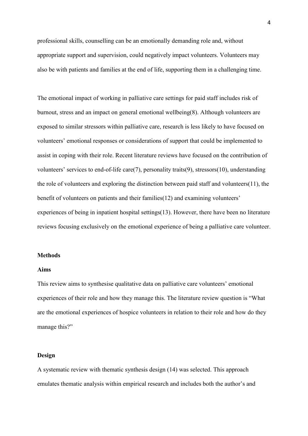professional skills, counselling can be an emotionally demanding role and, without appropriate support and supervision, could negatively impact volunteers. Volunteers may also be with patients and families at the end of life, supporting them in a challenging time.

The emotional impact of working in palliative care settings for paid staff includes risk of burnout, stress and an impact on general emotional wellbeing(8). Although volunteers are exposed to similar stressors within palliative care, research is less likely to have focused on volunteers' emotional responses or considerations of support that could be implemented to assist in coping with their role. Recent literature reviews have focused on the contribution of volunteers' services to end-of-life care(7), personality traits(9), stressors(10), understanding the role of volunteers and exploring the distinction between paid staff and volunteers(11), the benefit of volunteers on patients and their families(12) and examining volunteers' experiences of being in inpatient hospital settings(13). However, there have been no literature reviews focusing exclusively on the emotional experience of being a palliative care volunteer.

### **Methods**

## **Aims**

This review aims to synthesise qualitative data on palliative care volunteers' emotional experiences of their role and how they manage this. The literature review question is "What are the emotional experiences of hospice volunteers in relation to their role and how do they manage this?"

## **Design**

A systematic review with thematic synthesis design (14) was selected. This approach emulates thematic analysis within empirical research and includes both the author's and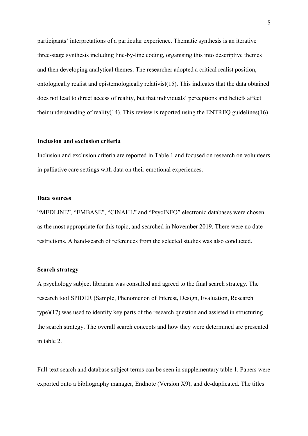participants' interpretations of a particular experience. Thematic synthesis is an iterative three-stage synthesis including line-by-line coding, organising this into descriptive themes and then developing analytical themes. The researcher adopted a critical realist position, ontologically realist and epistemologically relativist(15). This indicates that the data obtained does not lead to direct access of reality, but that individuals' perceptions and beliefs affect their understanding of reality(14). This review is reported using the ENTREQ guidelines(16)

#### **Inclusion and exclusion criteria**

Inclusion and exclusion criteria are reported in Table 1 and focused on research on volunteers in palliative care settings with data on their emotional experiences.

## **Data sources**

"MEDLINE", "EMBASE", "CINAHL" and "PsycINFO" electronic databases were chosen as the most appropriate for this topic, and searched in November 2019. There were no date restrictions. A hand-search of references from the selected studies was also conducted.

## **Search strategy**

A psychology subject librarian was consulted and agreed to the final search strategy. The research tool SPIDER (Sample, Phenomenon of Interest, Design, Evaluation, Research type)(17) was used to identify key parts of the research question and assisted in structuring the search strategy. The overall search concepts and how they were determined are presented in table 2.

Full-text search and database subject terms can be seen in supplementary table 1. Papers were exported onto a bibliography manager, Endnote (Version X9), and de-duplicated. The titles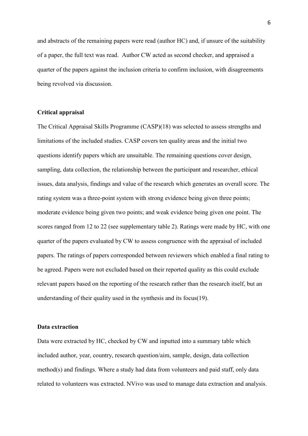and abstracts of the remaining papers were read (author HC) and, if unsure of the suitability of a paper, the full text was read. Author CW acted as second checker, and appraised a quarter of the papers against the inclusion criteria to confirm inclusion, with disagreements being revolved via discussion.

# **Critical appraisal**

The Critical Appraisal Skills Programme (CASP)(18) was selected to assess strengths and limitations of the included studies. CASP covers ten quality areas and the initial two questions identify papers which are unsuitable. The remaining questions cover design, sampling, data collection, the relationship between the participant and researcher, ethical issues, data analysis, findings and value of the research which generates an overall score. The rating system was a three-point system with strong evidence being given three points; moderate evidence being given two points; and weak evidence being given one point. The scores ranged from 12 to 22 (see supplementary table 2). Ratings were made by HC, with one quarter of the papers evaluated by CW to assess congruence with the appraisal of included papers. The ratings of papers corresponded between reviewers which enabled a final rating to be agreed. Papers were not excluded based on their reported quality as this could exclude relevant papers based on the reporting of the research rather than the research itself, but an understanding of their quality used in the synthesis and its focus(19).

#### **Data extraction**

Data were extracted by HC, checked by CW and inputted into a summary table which included author, year, country, research question/aim, sample, design, data collection method(s) and findings. Where a study had data from volunteers and paid staff, only data related to volunteers was extracted. NVivo was used to manage data extraction and analysis.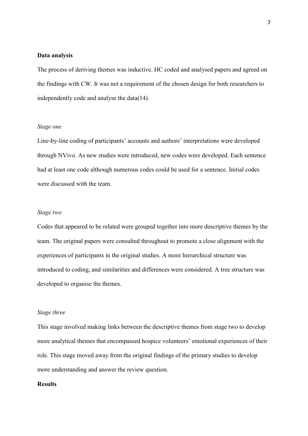#### **Data analysis**

The process of deriving themes was inductive. HC coded and analysed papers and agreed on the findings with CW. It was not a requirement of the chosen design for both researchers to independently code and analyse the data(14).

#### *Stage one*

Line-by-line coding of participants' accounts and authors' interpretations were developed through NVivo. As new studies were introduced, new codes were developed. Each sentence had at least one code although numerous codes could be used for a sentence. Initial codes were discussed with the team.

# *Stage two*

Codes that appeared to be related were grouped together into more descriptive themes by the team. The original papers were consulted throughout to promote a close alignment with the experiences of participants in the original studies. A more hierarchical structure was introduced to coding, and similarities and differences were considered. A tree structure was developed to organise the themes.

#### *Stage three*

This stage involved making links between the descriptive themes from stage two to develop more analytical themes that encompassed hospice volunteers' emotional experiences of their role. This stage moved away from the original findings of the primary studies to develop more understanding and answer the review question.

# **Results**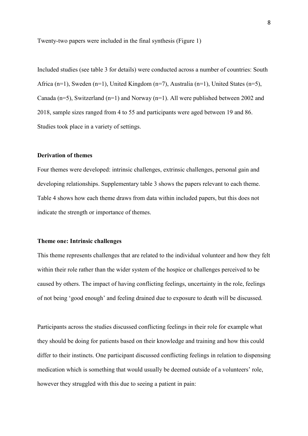Twenty-two papers were included in the final synthesis (Figure 1)

Included studies (see table 3 for details) were conducted across a number of countries: South Africa (n=1), Sweden (n=1), United Kingdom (n=7), Australia (n=1), United States (n=5), Canada (n=5), Switzerland (n=1) and Norway (n=1). All were published between 2002 and 2018, sample sizes ranged from 4 to 55 and participants were aged between 19 and 86. Studies took place in a variety of settings.

## **Derivation of themes**

Four themes were developed: intrinsic challenges, extrinsic challenges, personal gain and developing relationships. Supplementary table 3 shows the papers relevant to each theme. Table 4 shows how each theme draws from data within included papers, but this does not indicate the strength or importance of themes.

## **Theme one: Intrinsic challenges**

This theme represents challenges that are related to the individual volunteer and how they felt within their role rather than the wider system of the hospice or challenges perceived to be caused by others. The impact of having conflicting feelings, uncertainty in the role, feelings of not being 'good enough' and feeling drained due to exposure to death will be discussed.

Participants across the studies discussed conflicting feelings in their role for example what they should be doing for patients based on their knowledge and training and how this could differ to their instincts. One participant discussed conflicting feelings in relation to dispensing medication which is something that would usually be deemed outside of a volunteers' role, however they struggled with this due to seeing a patient in pain: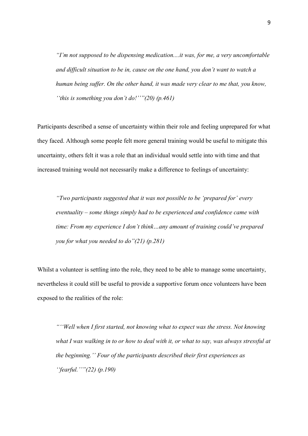*"I'm not supposed to be dispensing medication....it was, for me, a very uncomfortable and difficult situation to be in, cause on the one hand, you don't want to watch a human being suffer. On the other hand, it was made very clear to me that, you know, ''this is something you don't do!''"(20) (p.461)*

Participants described a sense of uncertainty within their role and feeling unprepared for what they faced. Although some people felt more general training would be useful to mitigate this uncertainty, others felt it was a role that an individual would settle into with time and that increased training would not necessarily make a difference to feelings of uncertainty:

*"Two participants suggested that it was not possible to be 'prepared for' every eventuality – some things simply had to be experienced and confidence came with time: From my experience I don't think…any amount of training could've prepared you for what you needed to do"(21) (p.281)*

Whilst a volunteer is settling into the role, they need to be able to manage some uncertainty, nevertheless it could still be useful to provide a supportive forum once volunteers have been exposed to the realities of the role:

*"''Well when I first started, not knowing what to expect was the stress. Not knowing what I was walking in to or how to deal with it, or what to say, was always stressful at the beginning.'' Four of the participants described their first experiences as ''fearful.''"(22) (p.190)*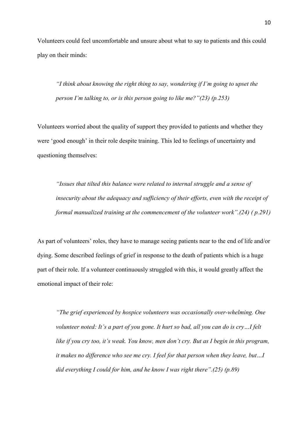Volunteers could feel uncomfortable and unsure about what to say to patients and this could play on their minds:

*"I think about knowing the right thing to say, wondering if I'm going to upset the person I'm talking to, or is this person going to like me?"(23) (p.253)*

Volunteers worried about the quality of support they provided to patients and whether they were 'good enough' in their role despite training. This led to feelings of uncertainty and questioning themselves:

*"Issues that tilted this balance were related to internal struggle and a sense of insecurity about the adequacy and sufficiency of their efforts, even with the receipt of formal manualized training at the commencement of the volunteer work".(24) ( p.291)*

As part of volunteers' roles, they have to manage seeing patients near to the end of life and/or dying. Some described feelings of grief in response to the death of patients which is a huge part of their role. If a volunteer continuously struggled with this, it would greatly affect the emotional impact of their role:

*"The grief experienced by hospice volunteers was occasionally over-whelming. One volunteer noted: It's a part of you gone. It hurt so bad, all you can do is cry…I felt like if you cry too, it's weak. You know, men don't cry. But as I begin in this program, it makes no difference who see me cry. I feel for that person when they leave, but…I did everything I could for him, and he know I was right there".(25) (p.89)*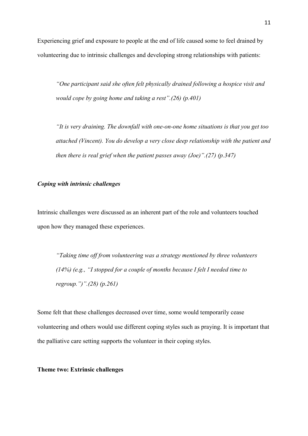Experiencing grief and exposure to people at the end of life caused some to feel drained by volunteering due to intrinsic challenges and developing strong relationships with patients:

*"One participant said she often felt physically drained following a hospice visit and would cope by going home and taking a rest".(26) (p.401)*

*"It is very draining. The downfall with one-on-one home situations is that you get too attached (Vincent). You do develop a very close deep relationship with the patient and then there is real grief when the patient passes away (Joe)".(27) (p.347)*

# *Coping with intrinsic challenges*

Intrinsic challenges were discussed as an inherent part of the role and volunteers touched upon how they managed these experiences.

*"Taking time off from volunteering was a strategy mentioned by three volunteers (14%) (e.g., "I stopped for a couple of months because I felt I needed time to regroup.")".(28) (p.261)*

Some felt that these challenges decreased over time, some would temporarily cease volunteering and others would use different coping styles such as praying. It is important that the palliative care setting supports the volunteer in their coping styles.

### **Theme two: Extrinsic challenges**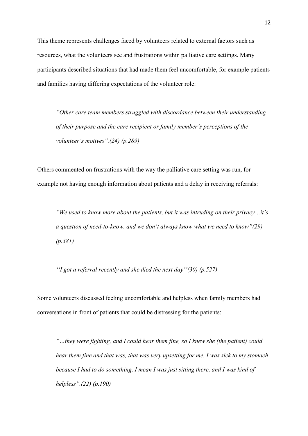This theme represents challenges faced by volunteers related to external factors such as resources, what the volunteers see and frustrations within palliative care settings. Many participants described situations that had made them feel uncomfortable, for example patients and families having differing expectations of the volunteer role:

*"Other care team members struggled with discordance between their understanding of their purpose and the care recipient or family member's perceptions of the volunteer's motives".(24) (p.289)*

Others commented on frustrations with the way the palliative care setting was run, for example not having enough information about patients and a delay in receiving referrals:

*"We used to know more about the patients, but it was intruding on their privacy…it's a question of need-to-know, and we don't always know what we need to know"(29) (p.381)*

*''I got a referral recently and she died the next day''(30) (p.527)*

Some volunteers discussed feeling uncomfortable and helpless when family members had conversations in front of patients that could be distressing for the patients:

*"…they were fighting, and I could hear them fine, so I knew she (the patient) could hear them fine and that was, that was very upsetting for me. I was sick to my stomach because I had to do something, I mean I was just sitting there, and I was kind of helpless".(22) (p.190)*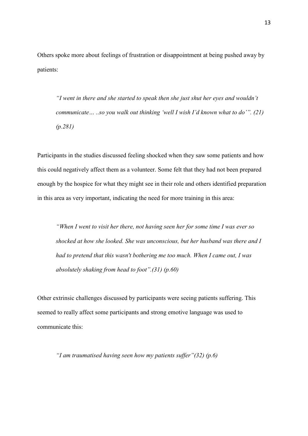Others spoke more about feelings of frustration or disappointment at being pushed away by patients:

*"I went in there and she started to speak then she just shut her eyes and wouldn't communicate… ..so you walk out thinking 'well I wish I'd known what to do'". (21) (p.281)*

Participants in the studies discussed feeling shocked when they saw some patients and how this could negatively affect them as a volunteer. Some felt that they had not been prepared enough by the hospice for what they might see in their role and others identified preparation in this area as very important, indicating the need for more training in this area:

*"When I went to visit her there, not having seen her for some time I was ever so shocked at how she looked. She was unconscious, but her husband was there and I had to pretend that this wasn't bothering me too much. When I came out, I was absolutely shaking from head to foot".(31) (p.60)*

Other extrinsic challenges discussed by participants were seeing patients suffering. This seemed to really affect some participants and strong emotive language was used to communicate this:

*"I am traumatised having seen how my patients suffer"(32) (p.6)*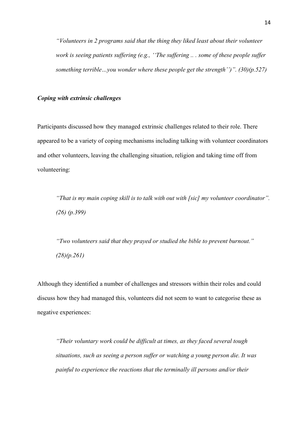*"Volunteers in 2 programs said that the thing they liked least about their volunteer work is seeing patients suffering (e.g., ''The suffering .. . some of these people suffer something terrible…you wonder where these people get the strength'')". (30)(p.527)*

## *Coping with extrinsic challenges*

Participants discussed how they managed extrinsic challenges related to their role. There appeared to be a variety of coping mechanisms including talking with volunteer coordinators and other volunteers, leaving the challenging situation, religion and taking time off from volunteering:

*"That is my main coping skill is to talk with out with [sic] my volunteer coordinator". (26) (p.399)*

*"Two volunteers said that they prayed or studied the bible to prevent burnout." (28)(p.261)*

Although they identified a number of challenges and stressors within their roles and could discuss how they had managed this, volunteers did not seem to want to categorise these as negative experiences:

*"Their voluntary work could be difficult at times, as they faced several tough situations, such as seeing a person suffer or watching a young person die. It was painful to experience the reactions that the terminally ill persons and/or their*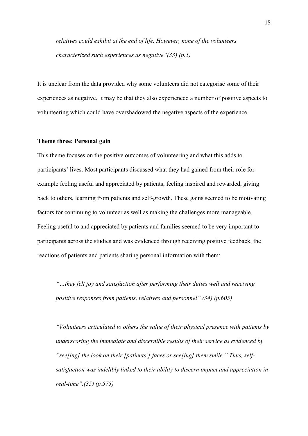*relatives could exhibit at the end of life. However, none of the volunteers characterized such experiences as negative"(33) (p.5)*

It is unclear from the data provided why some volunteers did not categorise some of their experiences as negative. It may be that they also experienced a number of positive aspects to volunteering which could have overshadowed the negative aspects of the experience.

#### **Theme three: Personal gain**

This theme focuses on the positive outcomes of volunteering and what this adds to participants' lives. Most participants discussed what they had gained from their role for example feeling useful and appreciated by patients, feeling inspired and rewarded, giving back to others, learning from patients and self-growth. These gains seemed to be motivating factors for continuing to volunteer as well as making the challenges more manageable. Feeling useful to and appreciated by patients and families seemed to be very important to participants across the studies and was evidenced through receiving positive feedback, the reactions of patients and patients sharing personal information with them:

*"…they felt joy and satisfaction after performing their duties well and receiving positive responses from patients, relatives and personnel".(34) (p.605)*

*"Volunteers articulated to others the value of their physical presence with patients by underscoring the immediate and discernible results of their service as evidenced by "see[ing] the look on their [patients'] faces or see[ing] them smile." Thus, selfsatisfaction was indelibly linked to their ability to discern impact and appreciation in real-time".(35) (p.575)*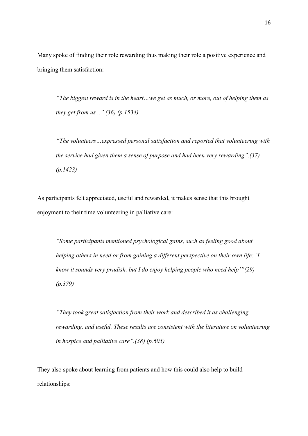Many spoke of finding their role rewarding thus making their role a positive experience and bringing them satisfaction:

*"The biggest reward is in the heart…we get as much, or more, out of helping them as they get from us .." (36) (p.1534)*

*"The volunteers…expressed personal satisfaction and reported that volunteering with the service had given them a sense of purpose and had been very rewarding".(37) (p.1423)*

As participants felt appreciated, useful and rewarded, it makes sense that this brought enjoyment to their time volunteering in palliative care:

*"Some participants mentioned psychological gains, such as feeling good about helping others in need or from gaining a different perspective on their own life: 'I know it sounds very prudish, but I do enjoy helping people who need help'"(29) (p.379)*

*"They took great satisfaction from their work and described it as challenging, rewarding, and useful. These results are consistent with the literature on volunteering in hospice and palliative care".(38) (p.605)*

They also spoke about learning from patients and how this could also help to build relationships: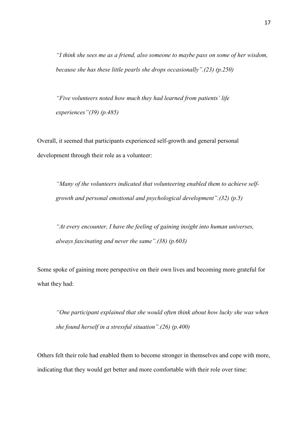*"I think she sees me as a friend, also someone to maybe pass on some of her wisdom, because she has these little pearls she drops occasionally".(23) (p.250)*

*"Five volunteers noted how much they had learned from patients' life experiences"(39) (p.485)*

Overall, it seemed that participants experienced self-growth and general personal development through their role as a volunteer:

*"Many of the volunteers indicated that volunteering enabled them to achieve selfgrowth and personal emotional and psychological development".(32) (p.5)*

*"At every encounter, I have the feeling of gaining insight into human universes, always fascinating and never the same".(38) (p.603)*

Some spoke of gaining more perspective on their own lives and becoming more grateful for what they had:

*"One participant explained that she would often think about how lucky she was when she found herself in a stressful situation".(26) (p.400)*

Others felt their role had enabled them to become stronger in themselves and cope with more, indicating that they would get better and more comfortable with their role over time: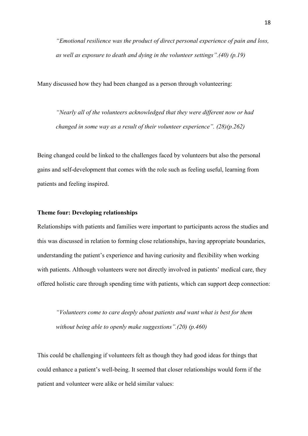*"Emotional resilience was the product of direct personal experience of pain and loss, as well as exposure to death and dying in the volunteer settings".(40) (p.19)*

Many discussed how they had been changed as a person through volunteering:

*"Nearly all of the volunteers acknowledged that they were different now or had changed in some way as a result of their volunteer experience". (28)(p.262)*

Being changed could be linked to the challenges faced by volunteers but also the personal gains and self-development that comes with the role such as feeling useful, learning from patients and feeling inspired.

# **Theme four: Developing relationships**

Relationships with patients and families were important to participants across the studies and this was discussed in relation to forming close relationships, having appropriate boundaries, understanding the patient's experience and having curiosity and flexibility when working with patients. Although volunteers were not directly involved in patients' medical care, they offered holistic care through spending time with patients, which can support deep connection:

*"Volunteers come to care deeply about patients and want what is best for them without being able to openly make suggestions".(20) (p.460)*

This could be challenging if volunteers felt as though they had good ideas for things that could enhance a patient's well-being. It seemed that closer relationships would form if the patient and volunteer were alike or held similar values: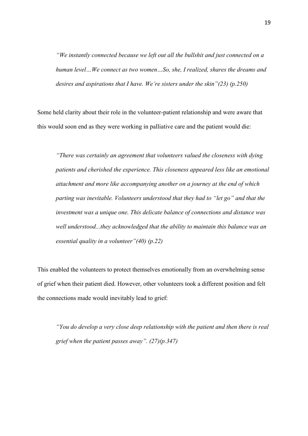*"We instantly connected because we left out all the bullshit and just connected on a human level…We connect as two women…So, she, I realized, shares the dreams and desires and aspirations that I have. We're sisters under the skin"(23) (p.250)*

Some held clarity about their role in the volunteer-patient relationship and were aware that this would soon end as they were working in palliative care and the patient would die:

*"There was certainly an agreement that volunteers valued the closeness with dying patients and cherished the experience. This closeness appeared less like an emotional attachment and more like accompanying another on a journey at the end of which parting was inevitable. Volunteers understood that they had to "let go" and that the investment was a unique one. This delicate balance of connections and distance was well understood...they acknowledged that the ability to maintain this balance was an essential quality in a volunteer"(40) (p.22)*

This enabled the volunteers to protect themselves emotionally from an overwhelming sense of grief when their patient died. However, other volunteers took a different position and felt the connections made would inevitably lead to grief:

*"You do develop a very close deep relationship with the patient and then there is real grief when the patient passes away". (27)(p.347)*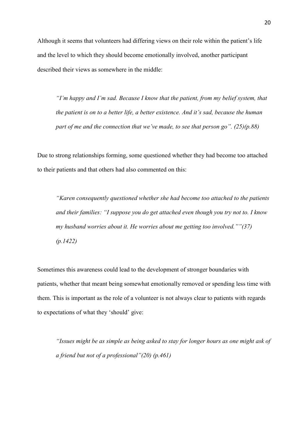Although it seems that volunteers had differing views on their role within the patient's life and the level to which they should become emotionally involved, another participant described their views as somewhere in the middle:

*"I'm happy and I'm sad. Because I know that the patient, from my belief system, that the patient is on to a better life, a better existence. And it's sad, because the human part of me and the connection that we've made, to see that person go". (25)(p.88)*

Due to strong relationships forming, some questioned whether they had become too attached to their patients and that others had also commented on this:

*"Karen consequently questioned whether she had become too attached to the patients and their families: "I suppose you do get attached even though you try not to. I know my husband worries about it. He worries about me getting too involved.""(37) (p.1422)*

Sometimes this awareness could lead to the development of stronger boundaries with patients, whether that meant being somewhat emotionally removed or spending less time with them. This is important as the role of a volunteer is not always clear to patients with regards to expectations of what they 'should' give:

*"Issues might be as simple as being asked to stay for longer hours as one might ask of a friend but not of a professional"(20) (p.461)*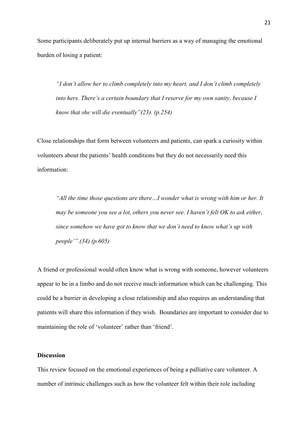Some participants deliberately put up internal barriers as a way of managing the emotional burden of losing a patient:

*"I don't allow her to climb completely into my heart, and I don't climb completely into hers. There's a certain boundary that I reserve for my own sanity, because I know that she will die eventually"(23). (p.254)*

Close relationships that form between volunteers and patients, can spark a curiosity within volunteers about the patients' health conditions but they do not necessarily need this information:

*"All the time those questions are there…I wonder what is wrong with him or her. It may be someone you see a lot, others you never see. I haven't felt OK to ask either, since somehow we have got to know that we don't need to know what's up with people'".(34) (p.605)*

A friend or professional would often know what is wrong with someone, however volunteers appear to be in a limbo and do not receive much information which can be challenging. This could be a barrier in developing a close relationship and also requires an understanding that patients will share this information if they wish. Boundaries are important to consider due to maintaining the role of 'volunteer' rather than 'friend'.

# **Discussion**

This review focused on the emotional experiences of being a palliative care volunteer. A number of intrinsic challenges such as how the volunteer felt within their role including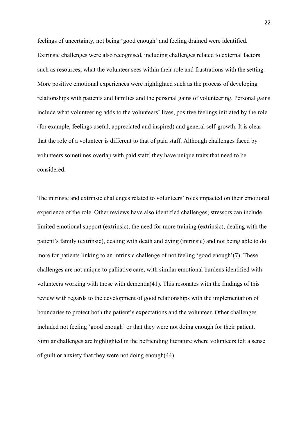feelings of uncertainty, not being 'good enough' and feeling drained were identified. Extrinsic challenges were also recognised, including challenges related to external factors such as resources, what the volunteer sees within their role and frustrations with the setting. More positive emotional experiences were highlighted such as the process of developing relationships with patients and families and the personal gains of volunteering. Personal gains include what volunteering adds to the volunteers' lives, positive feelings initiated by the role (for example, feelings useful, appreciated and inspired) and general self-growth. It is clear that the role of a volunteer is different to that of paid staff. Although challenges faced by volunteers sometimes overlap with paid staff, they have unique traits that need to be considered.

The intrinsic and extrinsic challenges related to volunteers' roles impacted on their emotional experience of the role. Other reviews have also identified challenges; stressors can include limited emotional support (extrinsic), the need for more training (extrinsic), dealing with the patient's family (extrinsic), dealing with death and dying (intrinsic) and not being able to do more for patients linking to an intrinsic challenge of not feeling 'good enough'(7). These challenges are not unique to palliative care, with similar emotional burdens identified with volunteers working with those with dementia(41). This resonates with the findings of this review with regards to the development of good relationships with the implementation of boundaries to protect both the patient's expectations and the volunteer. Other challenges included not feeling 'good enough' or that they were not doing enough for their patient. Similar challenges are highlighted in the befriending literature where volunteers felt a sense of guilt or anxiety that they were not doing enough(44).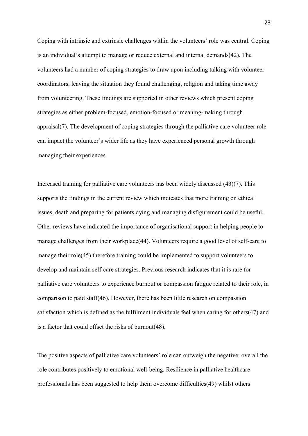Coping with intrinsic and extrinsic challenges within the volunteers' role was central. Coping is an individual's attempt to manage or reduce external and internal demands(42). The volunteers had a number of coping strategies to draw upon including talking with volunteer coordinators, leaving the situation they found challenging, religion and taking time away from volunteering. These findings are supported in other reviews which present coping strategies as either problem-focused, emotion-focused or meaning-making through appraisal(7). The development of coping strategies through the palliative care volunteer role can impact the volunteer's wider life as they have experienced personal growth through managing their experiences.

Increased training for palliative care volunteers has been widely discussed (43)(7). This supports the findings in the current review which indicates that more training on ethical issues, death and preparing for patients dying and managing disfigurement could be useful. Other reviews have indicated the importance of organisational support in helping people to manage challenges from their workplace(44). Volunteers require a good level of self-care to manage their role(45) therefore training could be implemented to support volunteers to develop and maintain self-care strategies. Previous research indicates that it is rare for palliative care volunteers to experience burnout or compassion fatigue related to their role, in comparison to paid staff(46). However, there has been little research on compassion satisfaction which is defined as the fulfilment individuals feel when caring for others(47) and is a factor that could offset the risks of burnout(48).

The positive aspects of palliative care volunteers' role can outweigh the negative: overall the role contributes positively to emotional well-being. Resilience in palliative healthcare professionals has been suggested to help them overcome difficulties(49) whilst others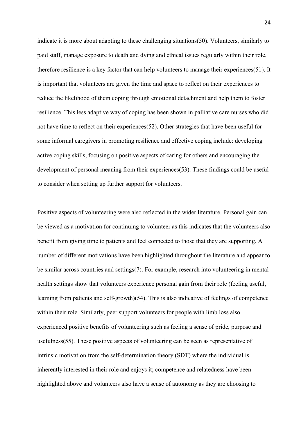indicate it is more about adapting to these challenging situations(50). Volunteers, similarly to paid staff, manage exposure to death and dying and ethical issues regularly within their role, therefore resilience is a key factor that can help volunteers to manage their experiences(51). It is important that volunteers are given the time and space to reflect on their experiences to reduce the likelihood of them coping through emotional detachment and help them to foster resilience. This less adaptive way of coping has been shown in palliative care nurses who did not have time to reflect on their experiences(52). Other strategies that have been useful for some informal caregivers in promoting resilience and effective coping include: developing active coping skills, focusing on positive aspects of caring for others and encouraging the development of personal meaning from their experiences(53). These findings could be useful to consider when setting up further support for volunteers.

Positive aspects of volunteering were also reflected in the wider literature. Personal gain can be viewed as a motivation for continuing to volunteer as this indicates that the volunteers also benefit from giving time to patients and feel connected to those that they are supporting. A number of different motivations have been highlighted throughout the literature and appear to be similar across countries and settings(7). For example, research into volunteering in mental health settings show that volunteers experience personal gain from their role (feeling useful, learning from patients and self-growth)(54). This is also indicative of feelings of competence within their role. Similarly, peer support volunteers for people with limb loss also experienced positive benefits of volunteering such as feeling a sense of pride, purpose and usefulness(55). These positive aspects of volunteering can be seen as representative of intrinsic motivation from the self-determination theory (SDT) where the individual is inherently interested in their role and enjoys it; competence and relatedness have been highlighted above and volunteers also have a sense of autonomy as they are choosing to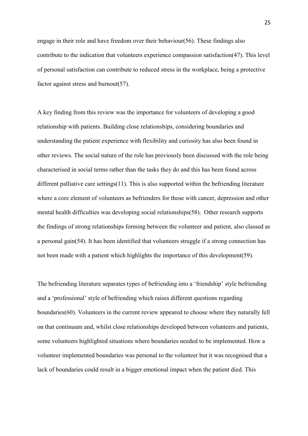engage in their role and have freedom over their behaviour(56). These findings also contribute to the indication that volunteers experience compassion satisfaction(47). This level of personal satisfaction can contribute to reduced stress in the workplace, being a protective factor against stress and burnout(57).

A key finding from this review was the importance for volunteers of developing a good relationship with patients. Building close relationships, considering boundaries and understanding the patient experience with flexibility and curiosity has also been found in other reviews. The social nature of the role has previously been discussed with the role being characterised in social terms rather than the tasks they do and this has been found across different palliative care settings(11). This is also supported within the befriending literature where a core element of volunteers as befrienders for those with cancer, depression and other mental health difficulties was developing social relationships(58). Other research supports the findings of strong relationships forming between the volunteer and patient, also classed as a personal gain(54). It has been identified that volunteers struggle if a strong connection has not been made with a patient which highlights the importance of this development(59).

The befriending literature separates types of befriending into a 'friendship' style befriending and a 'professional' style of befriending which raises different questions regarding boundaries(60). Volunteers in the current review appeared to choose where they naturally fell on that continuum and, whilst close relationships developed between volunteers and patients, some volunteers highlighted situations where boundaries needed to be implemented. How a volunteer implemented boundaries was personal to the volunteer but it was recognised that a lack of boundaries could result in a bigger emotional impact when the patient died. This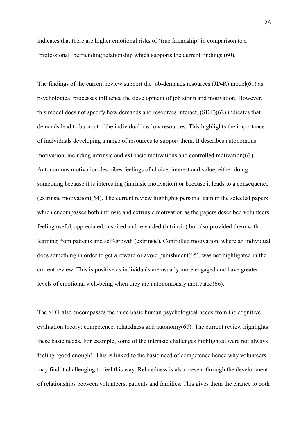indicates that there are higher emotional risks of 'true friendship' in comparison to a 'professional' befriending relationship which supports the current findings (60).

The findings of the current review support the job-demands resources (JD-R) model(61) as psychological processes influence the development of job strain and motivation. However, this model does not specify how demands and resources interact. (SDT)(62) indicates that demands lead to burnout if the individual has low resources. This highlights the importance of individuals developing a range of resources to support them. It describes autonomous motivation, including intrinsic and extrinsic motivations and controlled motivation(63). Autonomous motivation describes feelings of choice, interest and value, either doing something because it is interesting (intrinsic motivation) or because it leads to a consequence (extrinsic motivation)(64). The current review highlights personal gain in the selected papers which encompasses both intrinsic and extrinsic motivation as the papers described volunteers feeling useful, appreciated, inspired and rewarded (intrinsic) but also provided them with learning from patients and self-growth (extrinsic). Controlled motivation, where an individual does something in order to get a reward or avoid punishment(65), was not highlighted in the current review. This is positive as individuals are usually more engaged and have greater levels of emotional well-being when they are autonomously motivated(66).

The SDT also encompasses the three basic human psychological needs from the cognitive evaluation theory: competence, relatedness and autonomy $(67)$ . The current review highlights these basic needs. For example, some of the intrinsic challenges highlighted were not always feeling 'good enough'. This is linked to the basic need of competence hence why volunteers may find it challenging to feel this way. Relatedness is also present through the development of relationships between volunteers, patients and families. This gives them the chance to both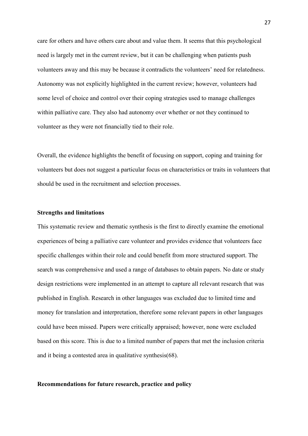care for others and have others care about and value them. It seems that this psychological need is largely met in the current review, but it can be challenging when patients push volunteers away and this may be because it contradicts the volunteers' need for relatedness. Autonomy was not explicitly highlighted in the current review; however, volunteers had some level of choice and control over their coping strategies used to manage challenges within palliative care. They also had autonomy over whether or not they continued to volunteer as they were not financially tied to their role.

Overall, the evidence highlights the benefit of focusing on support, coping and training for volunteers but does not suggest a particular focus on characteristics or traits in volunteers that should be used in the recruitment and selection processes.

# **Strengths and limitations**

This systematic review and thematic synthesis is the first to directly examine the emotional experiences of being a palliative care volunteer and provides evidence that volunteers face specific challenges within their role and could benefit from more structured support. The search was comprehensive and used a range of databases to obtain papers. No date or study design restrictions were implemented in an attempt to capture all relevant research that was published in English. Research in other languages was excluded due to limited time and money for translation and interpretation, therefore some relevant papers in other languages could have been missed. Papers were critically appraised; however, none were excluded based on this score. This is due to a limited number of papers that met the inclusion criteria and it being a contested area in qualitative synthesis(68).

## **Recommendations for future research, practice and policy**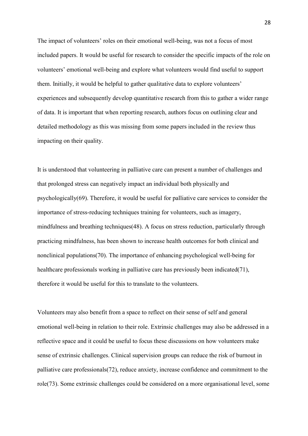The impact of volunteers' roles on their emotional well-being, was not a focus of most included papers. It would be useful for research to consider the specific impacts of the role on volunteers' emotional well-being and explore what volunteers would find useful to support them. Initially, it would be helpful to gather qualitative data to explore volunteers' experiences and subsequently develop quantitative research from this to gather a wider range of data. It is important that when reporting research, authors focus on outlining clear and detailed methodology as this was missing from some papers included in the review thus impacting on their quality.

It is understood that volunteering in palliative care can present a number of challenges and that prolonged stress can negatively impact an individual both physically and psychologically(69). Therefore, it would be useful for palliative care services to consider the importance of stress-reducing techniques training for volunteers, such as imagery, mindfulness and breathing techniques(48). A focus on stress reduction, particularly through practicing mindfulness, has been shown to increase health outcomes for both clinical and nonclinical populations(70). The importance of enhancing psychological well-being for healthcare professionals working in palliative care has previously been indicated(71), therefore it would be useful for this to translate to the volunteers.

Volunteers may also benefit from a space to reflect on their sense of self and general emotional well-being in relation to their role. Extrinsic challenges may also be addressed in a reflective space and it could be useful to focus these discussions on how volunteers make sense of extrinsic challenges. Clinical supervision groups can reduce the risk of burnout in palliative care professionals(72), reduce anxiety, increase confidence and commitment to the role(73). Some extrinsic challenges could be considered on a more organisational level, some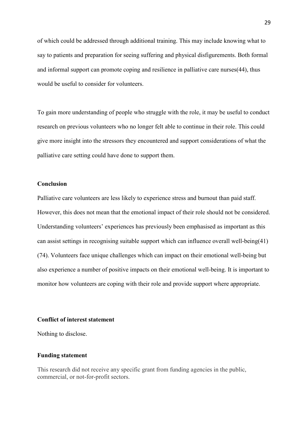of which could be addressed through additional training. This may include knowing what to say to patients and preparation for seeing suffering and physical disfigurements. Both formal and informal support can promote coping and resilience in palliative care nurses(44), thus would be useful to consider for volunteers.

To gain more understanding of people who struggle with the role, it may be useful to conduct research on previous volunteers who no longer felt able to continue in their role. This could give more insight into the stressors they encountered and support considerations of what the palliative care setting could have done to support them.

# **Conclusion**

Palliative care volunteers are less likely to experience stress and burnout than paid staff. However, this does not mean that the emotional impact of their role should not be considered. Understanding volunteers' experiences has previously been emphasised as important as this can assist settings in recognising suitable support which can influence overall well-being(41) (74). Volunteers face unique challenges which can impact on their emotional well-being but also experience a number of positive impacts on their emotional well-being. It is important to monitor how volunteers are coping with their role and provide support where appropriate.

## **Conflict of interest statement**

Nothing to disclose.

## **Funding statement**

This research did not receive any specific grant from funding agencies in the public, commercial, or not-for-profit sectors.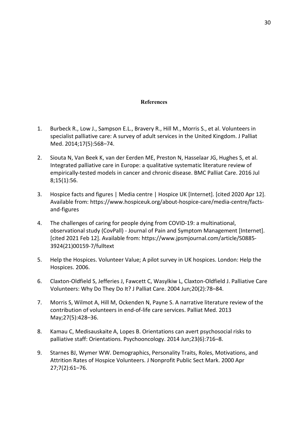#### **References**

- 1. Burbeck R., Low J., Sampson E.L., Bravery R., Hill M., Morris S., et al. Volunteers in specialist palliative care: A survey of adult services in the United Kingdom. J Palliat Med. 2014;17(5):568–74.
- 2. Siouta N, Van Beek K, van der Eerden ME, Preston N, Hasselaar JG, Hughes S, et al. Integrated palliative care in Europe: a qualitative systematic literature review of empirically-tested models in cancer and chronic disease. BMC Palliat Care. 2016 Jul 8;15(1):56.
- 3. Hospice facts and figures | Media centre | Hospice UK [Internet]. [cited 2020 Apr 12]. Available from: https://www.hospiceuk.org/about-hospice-care/media-centre/factsand-figures
- 4. The challenges of caring for people dying from COVID-19: a multinational, observational study (CovPall) - Journal of Pain and Symptom Management [Internet]. [cited 2021 Feb 12]. Available from: https://www.jpsmjournal.com/article/S0885- 3924(21)00159-7/fulltext
- 5. Help the Hospices. Volunteer Value; A pilot survey in UK hospices. London: Help the Hospices. 2006.
- 6. Claxton-Oldfield S, Jefferies J, Fawcett C, Wasylkiw L, Claxton-Oldfield J. Palliative Care Volunteers: Why Do They Do It? J Palliat Care. 2004 Jun;20(2):78–84.
- 7. Morris S, Wilmot A, Hill M, Ockenden N, Payne S. A narrative literature review of the contribution of volunteers in end-of-life care services. Palliat Med. 2013 May;27(5):428–36.
- 8. Kamau C, Medisauskaite A, Lopes B. Orientations can avert psychosocial risks to palliative staff: Orientations. Psychooncology. 2014 Jun;23(6):716–8.
- 9. Starnes BJ, Wymer WW. Demographics, Personality Traits, Roles, Motivations, and Attrition Rates of Hospice Volunteers. J Nonprofit Public Sect Mark. 2000 Apr 27;7(2):61–76.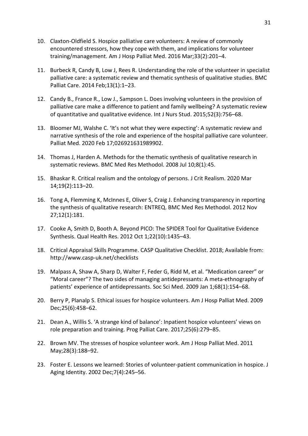- 10. Claxton-Oldfield S. Hospice palliative care volunteers: A review of commonly encountered stressors, how they cope with them, and implications for volunteer training/management. Am J Hosp Palliat Med. 2016 Mar;33(2):201–4.
- 11. Burbeck R, Candy B, Low J, Rees R. Understanding the role of the volunteer in specialist palliative care: a systematic review and thematic synthesis of qualitative studies. BMC Palliat Care. 2014 Feb;13(1):1–23.
- 12. Candy B., France R., Low J., Sampson L. Does involving volunteers in the provision of palliative care make a difference to patient and family wellbeing? A systematic review of quantitative and qualitative evidence. Int J Nurs Stud. 2015;52(3):756–68.
- 13. Bloomer MJ, Walshe C. 'It's not what they were expecting': A systematic review and narrative synthesis of the role and experience of the hospital palliative care volunteer. Palliat Med. 2020 Feb 17;026921631989902.
- 14. Thomas J, Harden A. Methods for the thematic synthesis of qualitative research in systematic reviews. BMC Med Res Methodol. 2008 Jul 10;8(1):45.
- 15. Bhaskar R. Critical realism and the ontology of persons. J Crit Realism. 2020 Mar 14;19(2):113–20.
- 16. Tong A, Flemming K, McInnes E, Oliver S, Craig J. Enhancing transparency in reporting the synthesis of qualitative research: ENTREQ. BMC Med Res Methodol. 2012 Nov 27;12(1):181.
- 17. Cooke A, Smith D, Booth A. Beyond PICO: The SPIDER Tool for Qualitative Evidence Synthesis. Qual Health Res. 2012 Oct 1;22(10):1435–43.
- 18. Critical Appraisal Skills Programme. CASP Qualitative Checklist. 2018; Available from: http://www.casp-uk.net/checklists
- 19. Malpass A, Shaw A, Sharp D, Walter F, Feder G, Ridd M, et al. "Medication career" or "Moral career"? The two sides of managing antidepressants: A meta-ethnography of patients' experience of antidepressants. Soc Sci Med. 2009 Jan 1;68(1):154–68.
- 20. Berry P, Planalp S. Ethical issues for hospice volunteers. Am J Hosp Palliat Med. 2009 Dec;25(6):458–62.
- 21. Dean A., Willis S. 'A strange kind of balance': Inpatient hospice volunteers' views on role preparation and training. Prog Palliat Care. 2017;25(6):279–85.
- 22. Brown MV. The stresses of hospice volunteer work. Am J Hosp Palliat Med. 2011 May;28(3):188–92.
- 23. Foster E. Lessons we learned: Stories of volunteer-patient communication in hospice. J Aging Identity. 2002 Dec;7(4):245–56.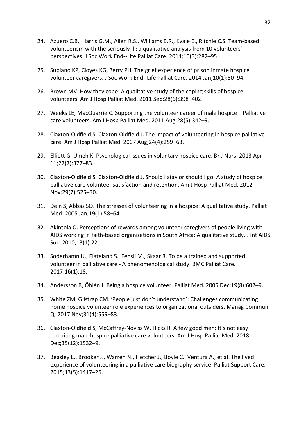- 24. Azuero C.B., Harris G.M., Allen R.S., Williams B.R., Kvale E., Ritchie C.S. Team-based volunteerism with the seriously ill: a qualitative analysis from 10 volunteers' perspectives. J Soc Work End--Life Palliat Care. 2014;10(3):282–95.
- 25. Supiano KP, Cloyes KG, Berry PH. The grief experience of prison inmate hospice volunteer caregivers. J Soc Work End--Life Palliat Care. 2014 Jan;10(1):80–94.
- 26. Brown MV. How they cope: A qualitative study of the coping skills of hospice volunteers. Am J Hosp Palliat Med. 2011 Sep;28(6):398–402.
- 27. Weeks LE, MacQuarrie C. Supporting the volunteer career of male hospice—Palliative care volunteers. Am J Hosp Palliat Med. 2011 Aug;28(5):342–9.
- 28. Claxton-Oldfield S, Claxton-Oldfield J. The impact of volunteering in hospice palliative care. Am J Hosp Palliat Med. 2007 Aug;24(4):259–63.
- 29. Elliott G, Umeh K. Psychological issues in voluntary hospice care. Br J Nurs. 2013 Apr 11;22(7):377–83.
- 30. Claxton-Oldfield S, Claxton-Oldfield J. Should I stay or should I go: A study of hospice palliative care volunteer satisfaction and retention. Am J Hosp Palliat Med. 2012 Nov;29(7):525–30.
- 31. Dein S, Abbas SQ. The stresses of volunteering in a hospice: A qualitative study. Palliat Med. 2005 Jan;19(1):58–64.
- 32. Akintola O. Perceptions of rewards among volunteer caregivers of people living with AIDS working in faith-based organizations in South Africa: A qualitative study. J Int AIDS Soc. 2010;13(1):22.
- 33. Soderhamn U., Flateland S., Fensli M., Skaar R. To be a trained and supported volunteer in palliative care - A phenomenological study. BMC Palliat Care. 2017;16(1):18.
- 34. Andersson B, Öhlén J. Being a hospice volunteer. Palliat Med. 2005 Dec;19(8):602–9.
- 35. White ZM, Gilstrap CM. 'People just don't understand': Challenges communicating home hospice volunteer role experiences to organizational outsiders. Manag Commun Q. 2017 Nov;31(4):559–83.
- 36. Claxton-Oldfield S, McCaffrey-Noviss W, Hicks R. A few good men: It's not easy recruiting male hospice palliative care volunteers. Am J Hosp Palliat Med. 2018 Dec;35(12):1532–9.
- 37. Beasley E., Brooker J., Warren N., Fletcher J., Boyle C., Ventura A., et al. The lived experience of volunteering in a palliative care biography service. Palliat Support Care. 2015;13(5):1417–25.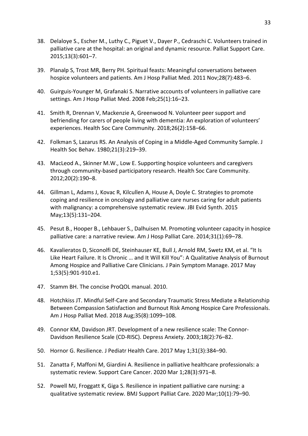- 38. Delaloye S., Escher M., Luthy C., Piguet V., Dayer P., Cedraschi C. Volunteers trained in palliative care at the hospital: an original and dynamic resource. Palliat Support Care. 2015;13(3):601–7.
- 39. Planalp S, Trost MR, Berry PH. Spiritual feasts: Meaningful conversations between hospice volunteers and patients. Am J Hosp Palliat Med. 2011 Nov;28(7):483–6.
- 40. Guirguis-Younger M, Grafanaki S. Narrative accounts of volunteers in palliative care settings. Am J Hosp Palliat Med. 2008 Feb;25(1):16–23.
- 41. Smith R, Drennan V, Mackenzie A, Greenwood N. Volunteer peer support and befriending for carers of people living with dementia: An exploration of volunteers' experiences. Health Soc Care Community. 2018;26(2):158–66.
- 42. Folkman S, Lazarus RS. An Analysis of Coping in a Middle-Aged Community Sample. J Health Soc Behav. 1980;21(3):219–39.
- 43. MacLeod A., Skinner M.W., Low E. Supporting hospice volunteers and caregivers through community-based participatory research. Health Soc Care Community. 2012;20(2):190–8.
- 44. Gillman L, Adams J, Kovac R, Kilcullen A, House A, Doyle C. Strategies to promote coping and resilience in oncology and palliative care nurses caring for adult patients with malignancy: a comprehensive systematic review. JBI Evid Synth. 2015 May;13(5):131–204.
- 45. Pesut B., Hooper B., Lehbauer S., Dalhuisen M. Promoting volunteer capacity in hospice palliative care: a narrative review. Am J Hosp Palliat Care. 2014;31(1):69–78.
- 46. Kavalieratos D, Siconolfi DE, Steinhauser KE, Bull J, Arnold RM, Swetz KM, et al. "It Is Like Heart Failure. It Is Chronic … and It Will Kill You": A Qualitative Analysis of Burnout Among Hospice and Palliative Care Clinicians. J Pain Symptom Manage. 2017 May 1;53(5):901-910.e1.
- 47. Stamm BH. The concise ProQOL manual. 2010.
- 48. Hotchkiss JT. Mindful Self-Care and Secondary Traumatic Stress Mediate a Relationship Between Compassion Satisfaction and Burnout Risk Among Hospice Care Professionals. Am J Hosp Palliat Med. 2018 Aug;35(8):1099–108.
- 49. Connor KM, Davidson JRT. Development of a new resilience scale: The Connor-Davidson Resilience Scale (CD-RISC). Depress Anxiety. 2003;18(2):76–82.
- 50. Hornor G. Resilience. J Pediatr Health Care. 2017 May 1;31(3):384–90.
- 51. Zanatta F, Maffoni M, Giardini A. Resilience in palliative healthcare professionals: a systematic review. Support Care Cancer. 2020 Mar 1;28(3):971–8.
- 52. Powell MJ, Froggatt K, Giga S. Resilience in inpatient palliative care nursing: a qualitative systematic review. BMJ Support Palliat Care. 2020 Mar;10(1):79–90.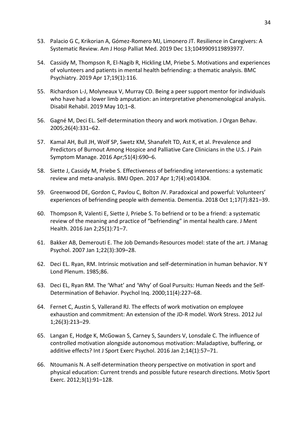- 53. Palacio G C, Krikorian A, Gómez-Romero MJ, Limonero JT. Resilience in Caregivers: A Systematic Review. Am J Hosp Palliat Med. 2019 Dec 13;1049909119893977.
- 54. Cassidy M, Thompson R, El-Nagib R, Hickling LM, Priebe S. Motivations and experiences of volunteers and patients in mental health befriending: a thematic analysis. BMC Psychiatry. 2019 Apr 17;19(1):116.
- 55. Richardson L-J, Molyneaux V, Murray CD. Being a peer support mentor for individuals who have had a lower limb amputation: an interpretative phenomenological analysis. Disabil Rehabil. 2019 May 10;1–8.
- 56. Gagné M, Deci EL. Self-determination theory and work motivation. J Organ Behav. 2005;26(4):331–62.
- 57. Kamal AH, Bull JH, Wolf SP, Swetz KM, Shanafelt TD, Ast K, et al. Prevalence and Predictors of Burnout Among Hospice and Palliative Care Clinicians in the U.S. J Pain Symptom Manage. 2016 Apr;51(4):690–6.
- 58. Siette J, Cassidy M, Priebe S. Effectiveness of befriending interventions: a systematic review and meta-analysis. BMJ Open. 2017 Apr 1;7(4):e014304.
- 59. Greenwood DE, Gordon C, Pavlou C, Bolton JV. Paradoxical and powerful: Volunteers' experiences of befriending people with dementia. Dementia. 2018 Oct 1;17(7):821–39.
- 60. Thompson R, Valenti E, Siette J, Priebe S. To befriend or to be a friend: a systematic review of the meaning and practice of "befriending" in mental health care. J Ment Health. 2016 Jan 2;25(1):71–7.
- 61. Bakker AB, Demerouti E. The Job Demands-Resources model: state of the art. J Manag Psychol. 2007 Jan 1;22(3):309–28.
- 62. Deci EL. Ryan, RM. Intrinsic motivation and self-determination in human behavior. N Y Lond Plenum. 1985;86.
- 63. Deci EL, Ryan RM. The 'What' and 'Why' of Goal Pursuits: Human Needs and the Self-Determination of Behavior. Psychol Inq. 2000;11(4):227–68.
- 64. Fernet C, Austin S, Vallerand RJ. The effects of work motivation on employee exhaustion and commitment: An extension of the JD-R model. Work Stress. 2012 Jul 1;26(3):213–29.
- 65. Langan E, Hodge K, McGowan S, Carney S, Saunders V, Lonsdale C. The influence of controlled motivation alongside autonomous motivation: Maladaptive, buffering, or additive effects? Int J Sport Exerc Psychol. 2016 Jan 2;14(1):57–71.
- 66. Ntoumanis N. A self-determination theory perspective on motivation in sport and physical education: Current trends and possible future research directions. Motiv Sport Exerc. 2012;3(1):91–128.